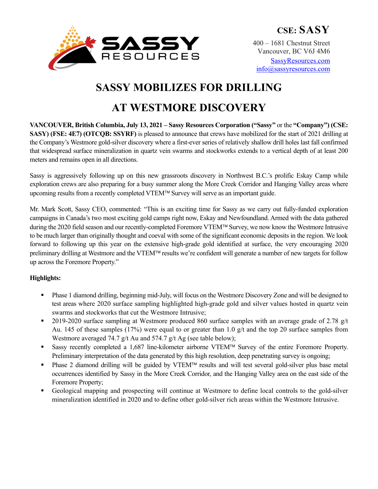

info@sassyresources.com

# **SASSY MOBILIZES FOR DRILLING**

## **AT WESTMORE DISCOVERY**

**VANCOUVER, British Columbia, July 13, 2021 – Sassy Resources Corporation ("Sassy"** or the **"Company") (CSE: SASY) (FSE: 4E7) (OTCQB: SSYRF)** is pleased to announce that crews have mobilized for the start of 2021 drilling at the Company's Westmore gold-silver discovery where a first-ever series of relatively shallow drill holes last fall confirmed that widespread surface mineralization in quartz vein swarms and stockworks extends to a vertical depth of at least 200 meters and remains open in all directions.

Sassy is aggressively following up on this new grassroots discovery in Northwest B.C.'s prolific Eskay Camp while exploration crews are also preparing for a busy summer along the More Creek Corridor and Hanging Valley areas where upcoming results from a recently completed VTEM™ Survey will serve as an important guide.

Mr. Mark Scott, Sassy CEO, commented: "This is an exciting time for Sassy as we carry out fully-funded exploration campaigns in Canada's two most exciting gold camps right now, Eskay and Newfoundland. Armed with the data gathered during the 2020 field season and our recently-completed Foremore VTEM™ Survey, we now know the Westmore Intrusive to be much larger than originally thought and coeval with some of the significant economic deposits in the region. We look forward to following up this year on the extensive high-grade gold identified at surface, the very encouraging 2020 preliminary drilling at Westmore and the VTEM<sup>™</sup> results we're confident will generate a number of new targets for follow up across the Foremore Property."

## **Highlights:**

- § Phase 1 diamond drilling, beginning mid-July, will focus on the Westmore Discovery Zone and will be designed to test areas where 2020 surface sampling highlighted high-grade gold and silver values hosted in quartz vein swarms and stockworks that cut the Westmore Intrusive;
- 2019-2020 surface sampling at Westmore produced 860 surface samples with an average grade of 2.78  $g/t$ Au. 145 of these samples (17%) were equal to or greater than 1.0 g/t and the top 20 surface samples from Westmore averaged 74.7 g/t Au and 574.7 g/t Ag (see table below);
- Sassy recently completed a 1,687 line-kilometer airborne VTEM™ Survey of the entire Foremore Property. Preliminary interpretation of the data generated by this high resolution, deep penetrating survey is ongoing;
- Phase 2 diamond drilling will be guided by VTEM™ results and will test several gold-silver plus base metal occurrences identified by Sassy in the More Creek Corridor, and the Hanging Valley area on the east side of the Foremore Property;
- § Geological mapping and prospecting will continue at Westmore to define local controls to the gold-silver mineralization identified in 2020 and to define other gold-silver rich areas within the Westmore Intrusive.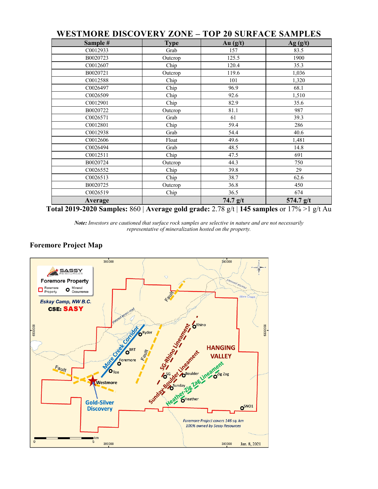| WESTMORE DISCOVERY ZONE – TOP 20 SURFACE SAMPLES |             |            |             |
|--------------------------------------------------|-------------|------------|-------------|
| Sample #                                         | <b>Type</b> | Au $(g/t)$ | Ag(g/t)     |
| C0012933                                         | Grab        | 157        | 83.5        |
| B0020723                                         | Outcrop     | 125.5      | 1900        |
| C0012607                                         | Chip        | 120.4      | 35.3        |
| B0020721                                         | Outcrop     | 119.6      | 1,036       |
| C0012588                                         | Chip        | 101        | 1,320       |
| C0026497                                         | Chip        | 96.9       | 68.1        |
| C0026509                                         | Chip        | 92.6       | 1,510       |
| C0012901                                         | Chip        | 82.9       | 35.6        |
| B0020722                                         | Outcrop     | 81.1       | 987         |
| C0026571                                         | Grab        | 61         | 39.3        |
| C0012801                                         | Chip        | 59.4       | 286         |
| C0012938                                         | Grab        | 54.4       | 40.6        |
| C0012606                                         | Float       | 49.6       | 1,481       |
| C0026494                                         | Grab        | 48.5       | 14.8        |
| C0012511                                         | Chip        | 47.5       | 691         |
| B0020724                                         | Outcrop     | 44.3       | 750         |
| C0026552                                         | Chip        | 39.8       | 29          |
| C0026513                                         | Chip        | 38.7       | 62.6        |
| B0020725                                         | Outcrop     | 36.8       | 450         |
| C0026519                                         | Chip        | 36.5       | 674         |
| Average                                          |             | $74.7$ g/t | $574.7$ g/t |

## **WESTMORE DISCOVERY ZONE – TOP 20 SURFACE SAMPLES**

**Total 2019-2020 Samples:** 860 | **Average gold grade:** 2.78 g/t | **145 samples** or 17% >1 g/t Au

*Note: Investors are cautioned that surface rock samples are selective in nature and are not necessarily representative of mineralization hosted on the property.*

6330000

#### 380000 390000 SASSY **Foremore Property**  $\Box$  Foremore O Mineral Eskay Camp, NW B.C. **CSE: SASY** Representation of the Contemporary Assembly  $\delta$ <sup>Rhino</sup> 6330000 **HANGING VALLEY** Fault O. Toe Reather Light Westmore Sun **Gold-Silver**  $o<sup>SNO1</sup>$ **Discovery** Foremore Project covers 146 sq. km 100% owned by Sassy Resources  $km$  $\overline{5}$ 380000 390000 Jan. 8, 2021

### **Foremore Project Map**